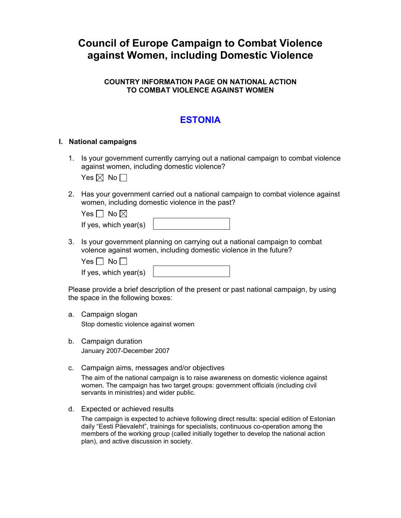# **Council of Europe Campaign to Combat Violence against Women, including Domestic Violence**

### **COUNTRY INFORMATION PAGE ON NATIONAL ACTION TO COMBAT VIOLENCE AGAINST WOMEN**

## **ESTONIA**

#### **I. National campaigns**

1. Is your government currently carrying out a national campaign to combat violence against women, including domestic violence?

Yes  $\boxtimes$  No  $\Box$ 

2. Has your government carried out a national campaign to combat violence against women, including domestic violence in the past?

| Yes $\Box$ No $\boxtimes$ |  |
|---------------------------|--|
| If yes, which year(s)     |  |

3. Is your government planning on carrying out a national campaign to combat volence against women, including domestic violence in the future?

Yes  $\Box$  No  $\Box$ 

If yes, which year(s)

Please provide a brief description of the present or past national campaign, by using the space in the following boxes:

a. Campaign slogan

Stop domestic violence against women

- b. Campaign duration January 2007-December 2007
- c. Campaign aims, messages and/or objectives

The aim of the national campaign is to raise awareness on domestic violence against women. The campaign has two target groups: government officials (including civil servants in ministries) and wider public.

d. Expected or achieved results

The campaign is expected to achieve following direct results: special edition of Estonian daily "Eesti Päevaleht", trainings for specialists, continuous co-operation among the members of the working group (called initially together to develop the national action plan), and active discussion in society.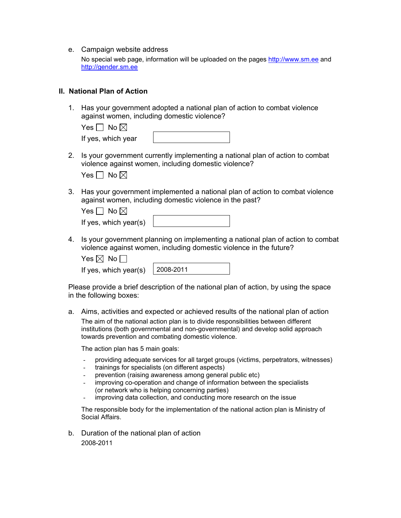e. Campaign website address

No special web page, information will be uploaded on the pages [http://www.sm.ee](http://www.sm.ee/) and [http://gender.sm.ee](http://gender.sm.ee/)

#### **II. National Plan of Action**

1. Has your government adopted a national plan of action to combat violence against women, including domestic violence?

| Yes $\Box$ No $\boxtimes$ |  |
|---------------------------|--|
| If yes, which year        |  |

2. Is your government currently implementing a national plan of action to combat violence against women, including domestic violence?

| $\overline{\phantom{a}}$ | No $\boxtimes$ |  |
|--------------------------|----------------|--|
|--------------------------|----------------|--|

3. Has your government implemented a national plan of action to combat violence against women, including domestic violence in the past?

| Yes $\Box$ No $\boxtimes$ |
|---------------------------|
| If yes, which year(s)     |

4. Is your government planning on implementing a national plan of action to combat violence against women, including domestic violence in the future?

| Yes $\boxtimes$ No $\ulcorner$ |  |  |
|--------------------------------|--|--|
|--------------------------------|--|--|

| If yes, which year(s) | $ 2008 - 2011$ |
|-----------------------|----------------|
|                       |                |

Please provide a brief description of the national plan of action, by using the space in the following boxes:

a. Aims, activities and expected or achieved results of the national plan of action The aim of the national action plan is to divide responsibilities between different institutions (both governmental and non-governmental) and develop solid approach towards prevention and combating domestic violence.

The action plan has 5 main goals:

- providing adequate services for all target groups (victims, perpetrators, witnesses)
- trainings for specialists (on different aspects)
- prevention (raising awareness among general public etc)
- improving co-operation and change of information between the specialists (or network who is helping concerning parties)
- improving data collection, and conducting more research on the issue

The responsible body for the implementation of the national action plan is Ministry of Social Affairs.

b. Duration of the national plan of action 2008-2011